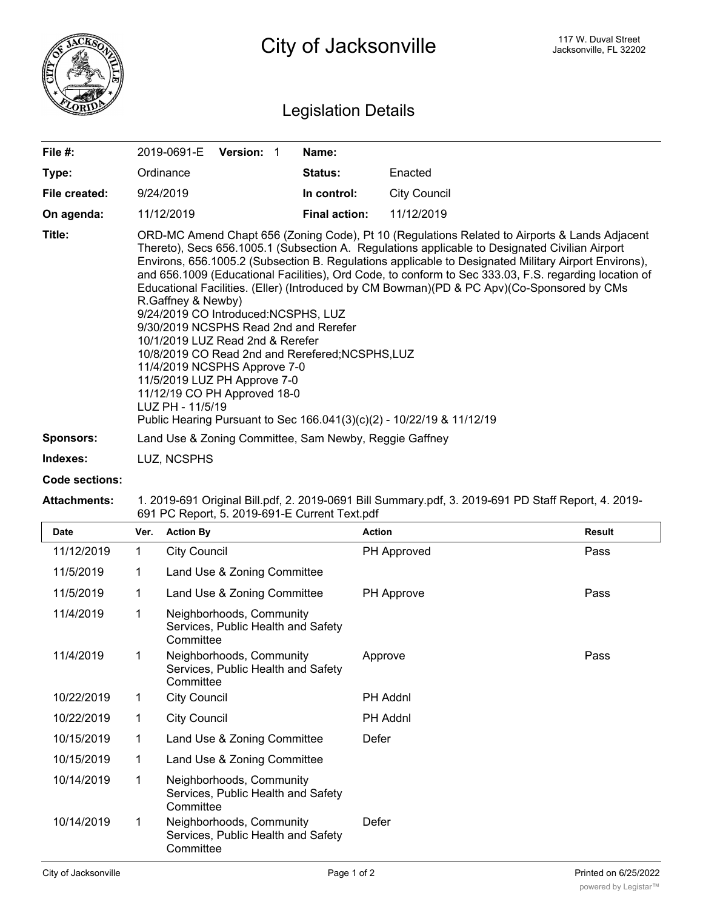

## Legislation Details

| File #:          | 2019-0691-E                                                                                                                                                                                                                                                | <b>Version: 1</b> |  | Name:                                            |                                                                                                                                                                                                                                                                                                                                                                                                                                                                                                                                                                                         |  |
|------------------|------------------------------------------------------------------------------------------------------------------------------------------------------------------------------------------------------------------------------------------------------------|-------------------|--|--------------------------------------------------|-----------------------------------------------------------------------------------------------------------------------------------------------------------------------------------------------------------------------------------------------------------------------------------------------------------------------------------------------------------------------------------------------------------------------------------------------------------------------------------------------------------------------------------------------------------------------------------------|--|
| Type:            | Ordinance                                                                                                                                                                                                                                                  |                   |  | <b>Status:</b>                                   | Enacted                                                                                                                                                                                                                                                                                                                                                                                                                                                                                                                                                                                 |  |
| File created:    | 9/24/2019                                                                                                                                                                                                                                                  |                   |  | In control:                                      | <b>City Council</b>                                                                                                                                                                                                                                                                                                                                                                                                                                                                                                                                                                     |  |
| On agenda:       | 11/12/2019                                                                                                                                                                                                                                                 |                   |  | <b>Final action:</b>                             | 11/12/2019                                                                                                                                                                                                                                                                                                                                                                                                                                                                                                                                                                              |  |
| Title:           | R.Gaffney & Newby)<br>9/24/2019 CO Introduced:NCSPHS, LUZ<br>9/30/2019 NCSPHS Read 2nd and Rerefer<br>10/1/2019 LUZ Read 2nd & Rerefer<br>11/4/2019 NCSPHS Approve 7-0<br>11/5/2019 LUZ PH Approve 7-0<br>11/12/19 CO PH Approved 18-0<br>LUZ PH - 11/5/19 |                   |  | 10/8/2019 CO Read 2nd and Rerefered; NCSPHS, LUZ | ORD-MC Amend Chapt 656 (Zoning Code), Pt 10 (Regulations Related to Airports & Lands Adjacent<br>Thereto), Secs 656.1005.1 (Subsection A. Regulations applicable to Designated Civilian Airport<br>Environs, 656.1005.2 (Subsection B. Regulations applicable to Designated Military Airport Environs),<br>and 656.1009 (Educational Facilities), Ord Code, to conform to Sec 333.03, F.S. regarding location of<br>Educational Facilities. (Eller) (Introduced by CM Bowman)(PD & PC Apv)(Co-Sponsored by CMs<br>Public Hearing Pursuant to Sec 166.041(3)(c)(2) - 10/22/19 & 11/12/19 |  |
| <b>Sponsors:</b> | Land Use & Zoning Committee, Sam Newby, Reggie Gaffney                                                                                                                                                                                                     |                   |  |                                                  |                                                                                                                                                                                                                                                                                                                                                                                                                                                                                                                                                                                         |  |
| Indexes:         | LUZ, NCSPHS                                                                                                                                                                                                                                                |                   |  |                                                  |                                                                                                                                                                                                                                                                                                                                                                                                                                                                                                                                                                                         |  |
|                  |                                                                                                                                                                                                                                                            |                   |  |                                                  |                                                                                                                                                                                                                                                                                                                                                                                                                                                                                                                                                                                         |  |

## **Code sections:**

## **Attachments:** 1. 2019-691 Original Bill.pdf, 2. 2019-0691 Bill Summary.pdf, 3. 2019-691 PD Staff Report, 4. 2019- 691 PC Report, 5. 2019-691-E Current Text.pdf

| <b>Date</b> | Ver.        | <b>Action By</b>                                                            | <b>Action</b>   | <b>Result</b> |
|-------------|-------------|-----------------------------------------------------------------------------|-----------------|---------------|
| 11/12/2019  | 1           | <b>City Council</b>                                                         | PH Approved     | Pass          |
| 11/5/2019   | $\mathbf 1$ | Land Use & Zoning Committee                                                 |                 |               |
| 11/5/2019   | $\mathbf 1$ | Land Use & Zoning Committee                                                 | PH Approve      | Pass          |
| 11/4/2019   | 1           | Neighborhoods, Community<br>Services, Public Health and Safety<br>Committee |                 |               |
| 11/4/2019   | 1           | Neighborhoods, Community<br>Services, Public Health and Safety<br>Committee | Approve         | Pass          |
| 10/22/2019  | 1           | <b>City Council</b>                                                         | PH Addnl        |               |
| 10/22/2019  | 1           | <b>City Council</b>                                                         | <b>PH Addnl</b> |               |
| 10/15/2019  | 1           | Land Use & Zoning Committee                                                 | Defer           |               |
| 10/15/2019  | 1           | Land Use & Zoning Committee                                                 |                 |               |
| 10/14/2019  | 1           | Neighborhoods, Community<br>Services, Public Health and Safety<br>Committee |                 |               |
| 10/14/2019  | 1           | Neighborhoods, Community<br>Services, Public Health and Safety<br>Committee | Defer           |               |